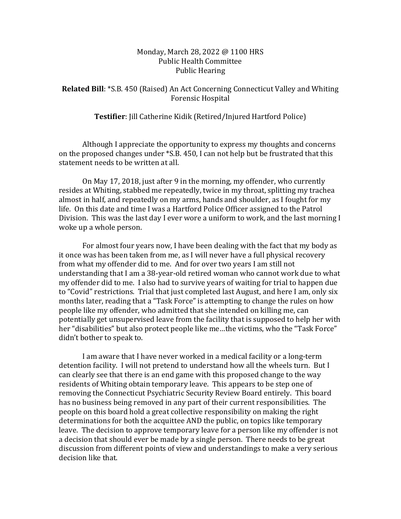## Monday, March 28, 2022 @ 1100 HRS Public Health Committee Public Hearing

**Related Bill**: \*S.B. 450 (Raised) An Act Concerning Connecticut Valley and Whiting Forensic Hospital

## **Testifier**: Jill Catherine Kidik (Retired/Injured Hartford Police)

Although I appreciate the opportunity to express my thoughts and concerns on the proposed changes under \*S.B. 450, I can not help but be frustrated that this statement needs to be written at all.

On May 17, 2018, just after 9 in the morning, my offender, who currently resides at Whiting, stabbed me repeatedly, twice in my throat, splitting my trachea almost in half, and repeatedly on my arms, hands and shoulder, as I fought for my life. On this date and time I was a Hartford Police Officer assigned to the Patrol Division. This was the last day I ever wore a uniform to work, and the last morning I woke up a whole person.

For almost four years now, I have been dealing with the fact that my body as it once was has been taken from me, as I will never have a full physical recovery from what my offender did to me. And for over two years I am still not understanding that I am a 38-year-old retired woman who cannot work due to what my offender did to me. I also had to survive years of waiting for trial to happen due to "Covid" restrictions. Trial that just completed last August, and here I am, only six months later, reading that a "Task Force" is attempting to change the rules on how people like my offender, who admitted that she intended on killing me, can potentially get unsupervised leave from the facility that is supposed to help her with her "disabilities" but also protect people like me…the victims, who the "Task Force" didn't bother to speak to.

I am aware that I have never worked in a medical facility or a long-term detention facility. I will not pretend to understand how all the wheels turn. But I can clearly see that there is an end game with this proposed change to the way residents of Whiting obtain temporary leave. This appears to be step one of removing the Connecticut Psychiatric Security Review Board entirely. This board has no business being removed in any part of their current responsibilities. The people on this board hold a great collective responsibility on making the right determinations for both the acquittee AND the public, on topics like temporary leave. The decision to approve temporary leave for a person like my offender is not a decision that should ever be made by a single person. There needs to be great discussion from different points of view and understandings to make a very serious decision like that.